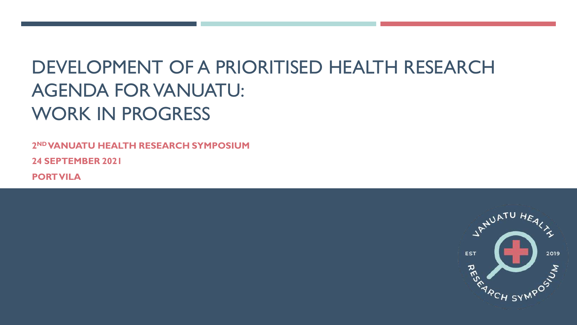# DEVELOPMENT OF A PRIORITISED HEALTH RESEARCH AGENDA FOR VANUATU: WORK IN PROGRESS

**2 ND VANUATU HEALTH RESEARCH SYMPOSIUM 24 SEPTEMBER 2021**

**PORT VILA**

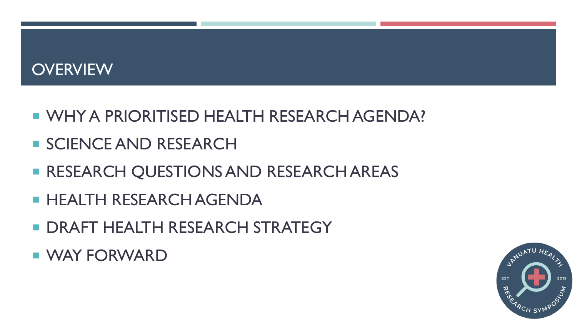#### **OVERVIEW**

- **U WHY A PRIORITISED HEALTH RESEARCH AGENDA?**
- **SCIENCE AND RESEARCH**
- **RESEARCH QUESTIONS AND RESEARCH AREAS**
- **E HEALTH RESEARCH AGENDA**
- **DRAFT HEALTH RESEARCH STRATEGY**
- **NAY FORWARD**

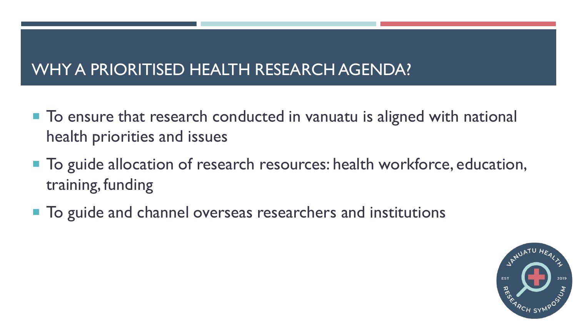# WHY A PRIORITISED HEALTH RESEARCH AGENDA?

- To ensure that research conducted in vanuatu is aligned with national health priorities and issues
- To guide allocation of research resources: health workforce, education, training, funding
- To guide and channel overseas researchers and institutions

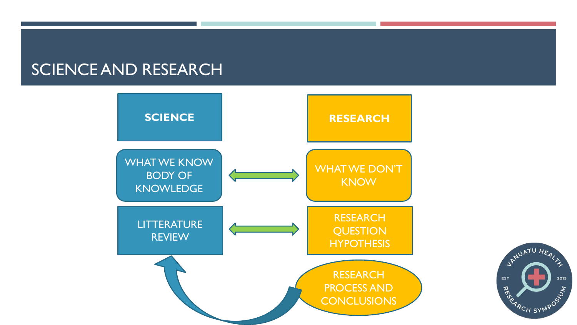#### SCIENCE AND RESEARCH



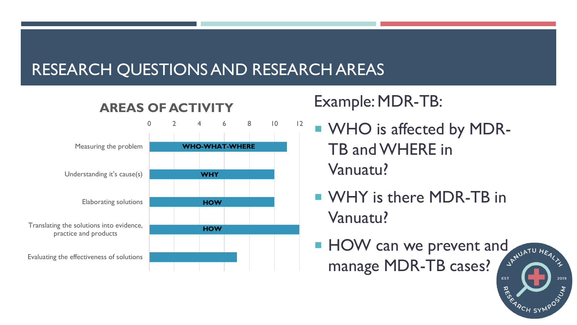# RESEARCH QUESTIONS AND RESEARCH AREAS



#### **AREAS OF ACTIVITY**

# Example: MDR-TB:

- WHO is affected by MDR-TB and WHERE in Vanuatu?
- **NAMILY** is there MDR-TB in Vanuatu?
- $HOW can we prevent and   
means  $MDD = D$$ manage MDR-TB cases? **EST**

2019

RES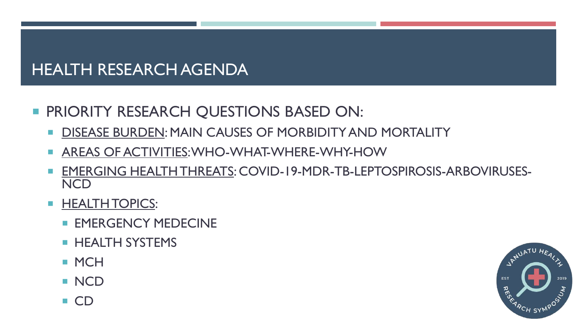## HEALTH RESEARCH AGENDA

#### **PRIORITY RESEARCH QUESTIONS BASED ON:**

- **DISEASE BURDEN: MAIN CAUSES OF MORBIDITY AND MORTALITY**
- **AREAS OF ACTIVITIES: WHO-WHAT-WHERE-WHY-HOW**
- EMERGING HEALTH THREATS: COVID-19-MDR-TB-LEPTOSPIROSIS-ARBOVIRUSES-**NCD**
- **HEALTH TOPICS:** 
	- **EMERGENCY MEDECINE**
	- **HEALTH SYSTEMS**
	- **MCH**
	- **NCD**
	- CD

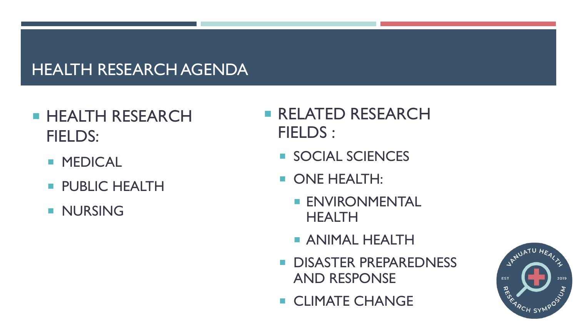# HEALTH RESEARCH AGENDA

# **HEALTH RESEARCH** FIELDS:

- **MEDICAL**
- **PUBLIC HEALTH**
- **NURSING**
- **RELATED RESEARCH** FIELDS :
	- **SOCIAL SCIENCES**
	- **ONE HEALTH:** 
		- **ENVIRONMENTAL HEALTH**
		- **ANIMAL HEALTH**
	- **DISASTER PREPAREDNESS** AND RESPONSE
	- **CLIMATE CHANGE**

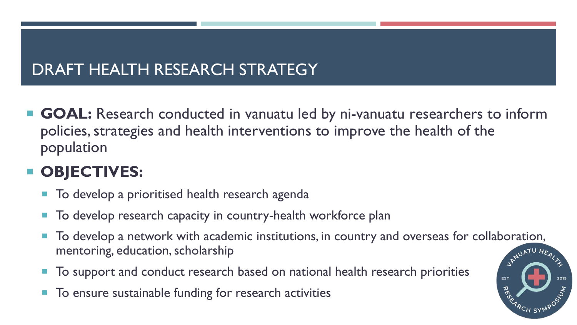# DRAFT HEALTH RESEARCH STRATEGY

■ GOAL: Research conducted in vanuatu led by ni-vanuatu researchers to inform policies, strategies and health interventions to improve the health of the population

# **OBJECTIVES:**

- To develop a prioritised health research agenda
- To develop research capacity in country-health workforce plan
- To develop a network with academic institutions, in country and overseas for collaboration,<br>mentoring, education, scholarship<br> mentoring, education, scholarship
- To support and conduct research based on national health research priorities
- To ensure sustainable funding for research activities